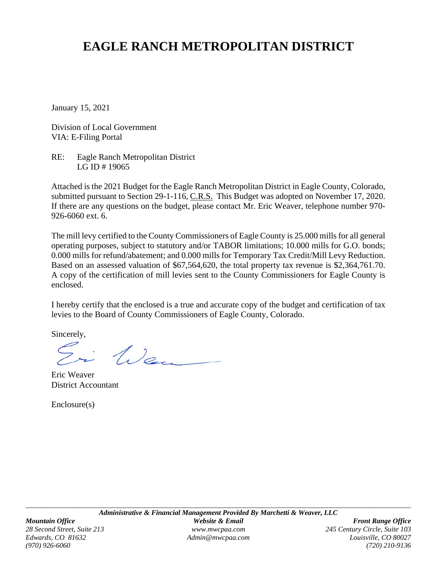# **EAGLE RANCH METROPOLITAN DISTRICT**

January 15, 2021

Division of Local Government VIA: E-Filing Portal

RE: Eagle Ranch Metropolitan District LG ID # 19065

Attached is the 2021 Budget for the Eagle Ranch Metropolitan District in Eagle County, Colorado, submitted pursuant to Section 29-1-116, C.R.S. This Budget was adopted on November 17, 2020. If there are any questions on the budget, please contact Mr. Eric Weaver, telephone number 970- 926-6060 ext. 6.

The mill levy certified to the County Commissioners of Eagle County is 25.000 mills for all general operating purposes, subject to statutory and/or TABOR limitations; 10.000 mills for G.O. bonds; 0.000 mills for refund/abatement; and 0.000 mills for Temporary Tax Credit/Mill Levy Reduction. Based on an assessed valuation of \$67,564,620, the total property tax revenue is \$2,364,761.70. A copy of the certification of mill levies sent to the County Commissioners for Eagle County is enclosed.

I hereby certify that the enclosed is a true and accurate copy of the budget and certification of tax levies to the Board of County Commissioners of Eagle County, Colorado.

Sincerely,

i Wen

Eric Weaver District Accountant

Enclosure(s)

*(970) 926-6060 (720) 210-9136*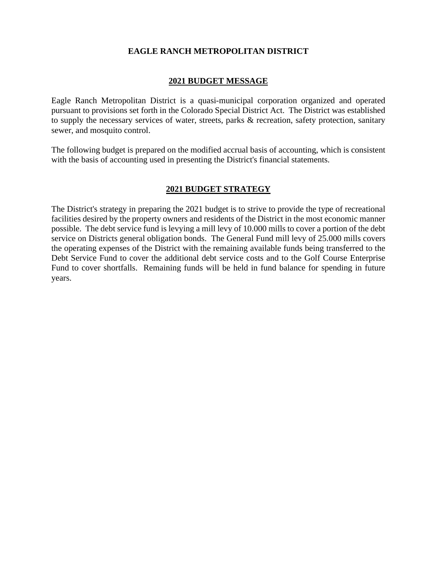#### **EAGLE RANCH METROPOLITAN DISTRICT**

#### **2021 BUDGET MESSAGE**

Eagle Ranch Metropolitan District is a quasi-municipal corporation organized and operated pursuant to provisions set forth in the Colorado Special District Act. The District was established to supply the necessary services of water, streets, parks & recreation, safety protection, sanitary sewer, and mosquito control.

The following budget is prepared on the modified accrual basis of accounting, which is consistent with the basis of accounting used in presenting the District's financial statements.

#### **2021 BUDGET STRATEGY**

The District's strategy in preparing the 2021 budget is to strive to provide the type of recreational facilities desired by the property owners and residents of the District in the most economic manner possible. The debt service fund is levying a mill levy of 10.000 mills to cover a portion of the debt service on Districts general obligation bonds. The General Fund mill levy of 25.000 mills covers the operating expenses of the District with the remaining available funds being transferred to the Debt Service Fund to cover the additional debt service costs and to the Golf Course Enterprise Fund to cover shortfalls. Remaining funds will be held in fund balance for spending in future years.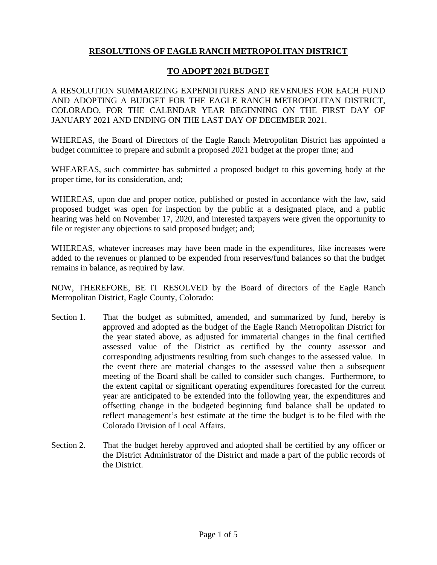## **RESOLUTIONS OF EAGLE RANCH METROPOLITAN DISTRICT**

#### **TO ADOPT 2021 BUDGET**

A RESOLUTION SUMMARIZING EXPENDITURES AND REVENUES FOR EACH FUND AND ADOPTING A BUDGET FOR THE EAGLE RANCH METROPOLITAN DISTRICT, COLORADO, FOR THE CALENDAR YEAR BEGINNING ON THE FIRST DAY OF JANUARY 2021 AND ENDING ON THE LAST DAY OF DECEMBER 2021.

WHEREAS, the Board of Directors of the Eagle Ranch Metropolitan District has appointed a budget committee to prepare and submit a proposed 2021 budget at the proper time; and

WHEAREAS, such committee has submitted a proposed budget to this governing body at the proper time, for its consideration, and;

WHEREAS, upon due and proper notice, published or posted in accordance with the law, said proposed budget was open for inspection by the public at a designated place, and a public hearing was held on November 17, 2020, and interested taxpayers were given the opportunity to file or register any objections to said proposed budget; and;

WHEREAS, whatever increases may have been made in the expenditures, like increases were added to the revenues or planned to be expended from reserves/fund balances so that the budget remains in balance, as required by law.

NOW, THEREFORE, BE IT RESOLVED by the Board of directors of the Eagle Ranch Metropolitan District, Eagle County, Colorado:

- Section 1. That the budget as submitted, amended, and summarized by fund, hereby is approved and adopted as the budget of the Eagle Ranch Metropolitan District for the year stated above, as adjusted for immaterial changes in the final certified assessed value of the District as certified by the county assessor and corresponding adjustments resulting from such changes to the assessed value. In the event there are material changes to the assessed value then a subsequent meeting of the Board shall be called to consider such changes. Furthermore, to the extent capital or significant operating expenditures forecasted for the current year are anticipated to be extended into the following year, the expenditures and offsetting change in the budgeted beginning fund balance shall be updated to reflect management's best estimate at the time the budget is to be filed with the Colorado Division of Local Affairs.
- Section 2. That the budget hereby approved and adopted shall be certified by any officer or the District Administrator of the District and made a part of the public records of the District.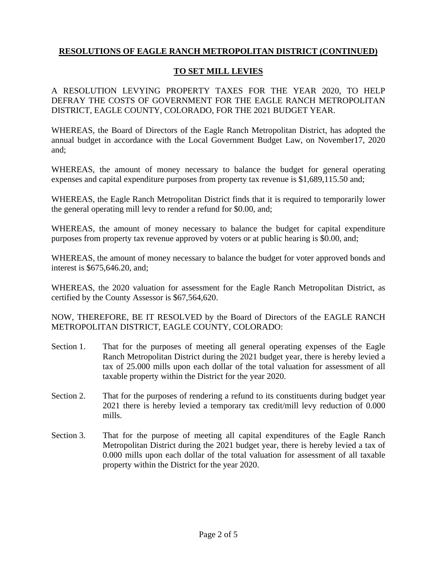#### **TO SET MILL LEVIES**

A RESOLUTION LEVYING PROPERTY TAXES FOR THE YEAR 2020, TO HELP DEFRAY THE COSTS OF GOVERNMENT FOR THE EAGLE RANCH METROPOLITAN DISTRICT, EAGLE COUNTY, COLORADO, FOR THE 2021 BUDGET YEAR.

WHEREAS, the Board of Directors of the Eagle Ranch Metropolitan District, has adopted the annual budget in accordance with the Local Government Budget Law, on November17, 2020 and;

WHEREAS, the amount of money necessary to balance the budget for general operating expenses and capital expenditure purposes from property tax revenue is \$1,689,115.50 and;

WHEREAS, the Eagle Ranch Metropolitan District finds that it is required to temporarily lower the general operating mill levy to render a refund for \$0.00, and;

WHEREAS, the amount of money necessary to balance the budget for capital expenditure purposes from property tax revenue approved by voters or at public hearing is \$0.00, and;

WHEREAS, the amount of money necessary to balance the budget for voter approved bonds and interest is \$675,646.20, and;

WHEREAS, the 2020 valuation for assessment for the Eagle Ranch Metropolitan District, as certified by the County Assessor is \$67,564,620.

NOW, THEREFORE, BE IT RESOLVED by the Board of Directors of the EAGLE RANCH METROPOLITAN DISTRICT, EAGLE COUNTY, COLORADO:

- Section 1. That for the purposes of meeting all general operating expenses of the Eagle Ranch Metropolitan District during the 2021 budget year, there is hereby levied a tax of 25.000 mills upon each dollar of the total valuation for assessment of all taxable property within the District for the year 2020.
- Section 2. That for the purposes of rendering a refund to its constituents during budget year 2021 there is hereby levied a temporary tax credit/mill levy reduction of 0.000 mills.
- Section 3. That for the purpose of meeting all capital expenditures of the Eagle Ranch Metropolitan District during the 2021 budget year, there is hereby levied a tax of 0.000 mills upon each dollar of the total valuation for assessment of all taxable property within the District for the year 2020.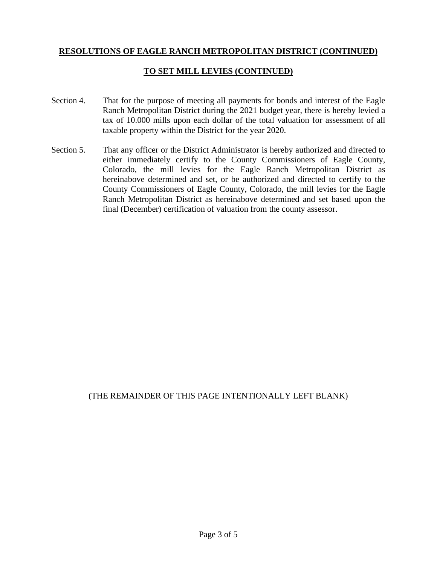#### **TO SET MILL LEVIES (CONTINUED)**

- Section 4. That for the purpose of meeting all payments for bonds and interest of the Eagle Ranch Metropolitan District during the 2021 budget year, there is hereby levied a tax of 10.000 mills upon each dollar of the total valuation for assessment of all taxable property within the District for the year 2020.
- Section 5. That any officer or the District Administrator is hereby authorized and directed to either immediately certify to the County Commissioners of Eagle County, Colorado, the mill levies for the Eagle Ranch Metropolitan District as hereinabove determined and set, or be authorized and directed to certify to the County Commissioners of Eagle County, Colorado, the mill levies for the Eagle Ranch Metropolitan District as hereinabove determined and set based upon the final (December) certification of valuation from the county assessor.

#### (THE REMAINDER OF THIS PAGE INTENTIONALLY LEFT BLANK)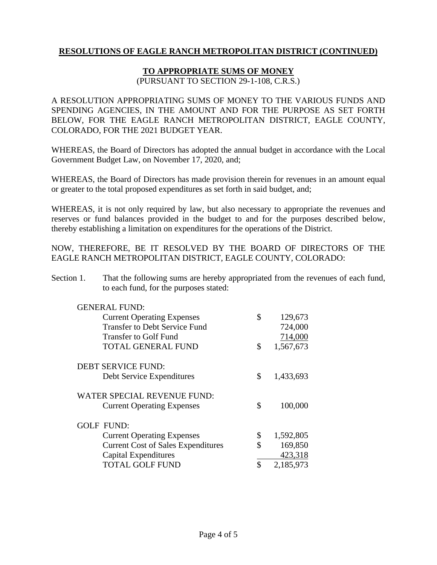#### **TO APPROPRIATE SUMS OF MONEY**

(PURSUANT TO SECTION 29-1-108, C.R.S.)

A RESOLUTION APPROPRIATING SUMS OF MONEY TO THE VARIOUS FUNDS AND SPENDING AGENCIES, IN THE AMOUNT AND FOR THE PURPOSE AS SET FORTH BELOW, FOR THE EAGLE RANCH METROPOLITAN DISTRICT, EAGLE COUNTY, COLORADO, FOR THE 2021 BUDGET YEAR.

WHEREAS, the Board of Directors has adopted the annual budget in accordance with the Local Government Budget Law, on November 17, 2020, and;

WHEREAS, the Board of Directors has made provision therein for revenues in an amount equal or greater to the total proposed expenditures as set forth in said budget, and;

WHEREAS, it is not only required by law, but also necessary to appropriate the revenues and reserves or fund balances provided in the budget to and for the purposes described below, thereby establishing a limitation on expenditures for the operations of the District.

NOW, THEREFORE, BE IT RESOLVED BY THE BOARD OF DIRECTORS OF THE EAGLE RANCH METROPOLITAN DISTRICT, EAGLE COUNTY, COLORADO:

Section 1. That the following sums are hereby appropriated from the revenues of each fund, to each fund, for the purposes stated:

| <b>GENERAL FUND:</b>                      |                 |
|-------------------------------------------|-----------------|
| <b>Current Operating Expenses</b>         | \$<br>129,673   |
| <b>Transfer to Debt Service Fund</b>      | 724,000         |
| Transfer to Golf Fund                     | 714,000         |
| <b>TOTAL GENERAL FUND</b>                 | \$<br>1,567,673 |
| <b>DEBT SERVICE FUND:</b>                 |                 |
| Debt Service Expenditures                 | \$<br>1,433,693 |
| WATER SPECIAL REVENUE FUND:               |                 |
| <b>Current Operating Expenses</b>         | \$<br>100,000   |
| <b>GOLF FUND:</b>                         |                 |
| <b>Current Operating Expenses</b>         | \$<br>1,592,805 |
| <b>Current Cost of Sales Expenditures</b> | \$<br>169,850   |
| Capital Expenditures                      | 423,318         |
| <b>TOTAL GOLF FUND</b>                    | \$<br>2,185,973 |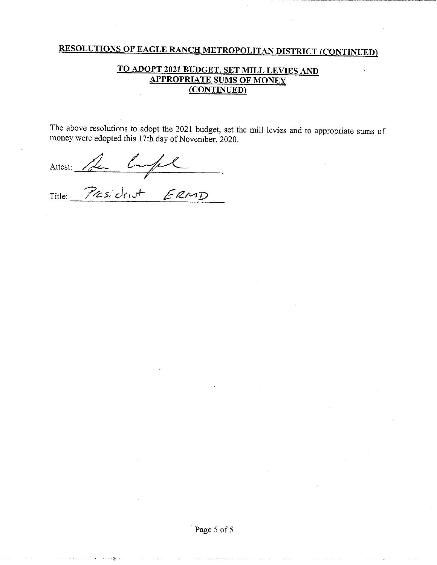## TO ADOPT 2021 BUDGET, SET MILL LEVIES AND **APPROPRIATE SUMS OF MONEY** (CONTINUED)

The above resolutions to adopt the 2021 budget, set the mill levies and to appropriate sums of money were adopted this 17th day of November, 2020.

Attest: Per Comple

Title: President ERMD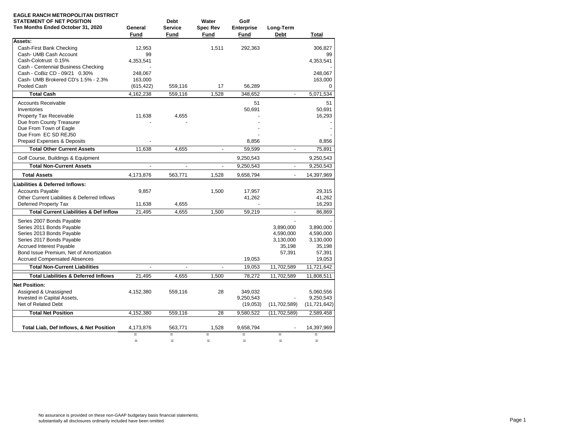| EAGLE RANCH METROPOLITAN DISTRICT<br><b>STATEMENT OF NET POSITION</b> |                          | <b>Debt</b>              | Water                    | Golf              |                |                |
|-----------------------------------------------------------------------|--------------------------|--------------------------|--------------------------|-------------------|----------------|----------------|
| Ten Months Ended October 31, 2020                                     | General                  | <b>Service</b>           | <b>Spec Rev</b>          | <b>Enterprise</b> | Long-Term      |                |
|                                                                       | Fund                     | Fund                     | Fund                     | Fund              | <b>Debt</b>    | Total          |
| Assets:                                                               |                          |                          |                          |                   |                |                |
| Cash-First Bank Checking                                              | 12.953                   |                          | 1,511                    | 292,363           |                | 306.827        |
| Cash- UMB Cash Account                                                | 99                       |                          |                          |                   |                | 99             |
| Cash-Colotrust 0.15%                                                  | 4,353,541                |                          |                          |                   |                | 4,353,541      |
| Cash - Centennial Business Checking                                   |                          |                          |                          |                   |                |                |
| Cash - CoBiz CD - 09/21 0.30%                                         | 248,067                  |                          |                          |                   |                | 248,067        |
| Cash- UMB Brokered CD's 1.5% - 2.3%                                   | 163,000                  |                          |                          |                   |                | 163,000        |
| Pooled Cash                                                           | (615, 422)               | 559,116                  | 17                       | 56,289            |                | 0              |
| <b>Total Cash</b>                                                     | 4,162,238                | 559,116                  | 1,528                    | 348,652           | $\overline{a}$ | 5,071,534      |
| <b>Accounts Receivable</b>                                            |                          |                          |                          | 51                |                | 51             |
| Inventories                                                           |                          |                          |                          | 50,691            |                | 50,691         |
| Property Tax Receivable                                               | 11,638                   | 4,655                    |                          |                   |                | 16,293         |
| Due from County Treasurer                                             |                          |                          |                          |                   |                |                |
| Due From Town of Eagle                                                |                          |                          |                          |                   |                |                |
| Due From EC SD REJ50                                                  |                          |                          |                          |                   |                |                |
| Prepaid Expenses & Deposits                                           |                          |                          |                          | 8,856             |                | 8,856          |
| <b>Total Other Current Assets</b>                                     | 11,638                   | 4,655                    | $\blacksquare$           | 59,599            | $\blacksquare$ | 75,891         |
| Golf Course, Buildings & Equipment                                    |                          |                          |                          | 9,250,543         |                | 9,250,543      |
| <b>Total Non-Current Assets</b>                                       | ÷                        | $\overline{a}$           | $\sim$                   | 9,250,543         | ÷.             | 9,250,543      |
| <b>Total Assets</b>                                                   | 4,173,876                | 563,771                  | 1,528                    | 9,658,794         | $\overline{a}$ | 14,397,969     |
| <b>Liabilities &amp; Deferred Inflows:</b>                            |                          |                          |                          |                   |                |                |
| <b>Accounts Payable</b>                                               | 9,857                    |                          | 1,500                    | 17,957            |                | 29,315         |
| Other Current Liabilities & Deferred Inflows                          |                          |                          |                          | 41,262            |                | 41,262         |
| Deferred Property Tax                                                 | 11,638                   | 4,655                    |                          |                   |                | 16,293         |
| <b>Total Current Liabilities &amp; Def Inflow</b>                     | 21,495                   | 4,655                    | 1,500                    | 59,219            |                | 86,869         |
| Series 2007 Bonds Payable                                             |                          |                          |                          |                   |                |                |
| Series 2011 Bonds Payable                                             |                          |                          |                          |                   | 3,890,000      | 3,890,000      |
| Series 2013 Bonds Payable                                             |                          |                          |                          |                   | 4,590,000      | 4,590,000      |
| Series 2017 Bonds Payable                                             |                          |                          |                          |                   | 3,130,000      | 3,130,000      |
| <b>Accrued Interest Payable</b>                                       |                          |                          |                          |                   | 35,198         | 35,198         |
| Bond Issue Premium, Net of Amortization                               |                          |                          |                          |                   | 57,391         | 57,391         |
| <b>Accrued Compensated Absences</b>                                   |                          |                          |                          | 19,053            |                | 19,053         |
| <b>Total Non-Current Liabilities</b>                                  | $\overline{\phantom{a}}$ | $\overline{\phantom{a}}$ | $\overline{\phantom{a}}$ | 19,053            | 11,702,589     | 11,721,642     |
| <b>Total Liabilities &amp; Deferred Inflows</b>                       | 21,495                   | 4,655                    | 1,500                    | 78,272            | 11,702,589     | 11,808,511     |
| <b>Net Position:</b>                                                  |                          |                          |                          |                   |                |                |
| Assigned & Unassigned                                                 | 4,152,380                | 559,116                  | 28                       | 349,032           |                | 5,060,556      |
| Invested in Capital Assets,                                           |                          |                          |                          | 9,250,543         |                | 9,250,543      |
| Net of Related Debt                                                   |                          |                          |                          | (19,053)          | (11,702,589)   | (11, 721, 642) |
| <b>Total Net Position</b>                                             | 4.152.380                | 559.116                  | 28                       | 9.580.522         | (11, 702, 589) | 2.589.458      |
|                                                                       |                          |                          |                          |                   |                |                |
| Total Liab, Def Inflows, & Net Position                               | 4,173,876                | 563,771                  | 1,528                    | 9,658,794         |                | 14,397,969     |
|                                                                       | $=$                      | $=$                      |                          | $=$               | $=$            |                |
|                                                                       | $=$                      | $\qquad \qquad =$        | $=$                      | $=$               | $=$            | $=$            |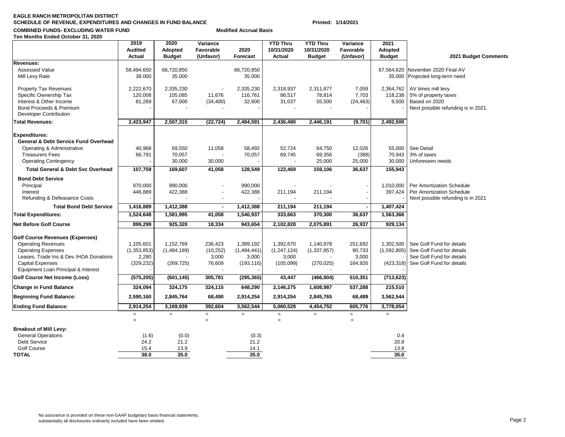#### **EAGLE RANCH METROPOLITAN DISTRICTSCHEDULE OF REVENUE, EXPENDITURES AND CHANGES IN FUND BALANCE Printed: 1/14/2021**

#### **COMBINED FUNDS- EXCLUDING WATER FUND**

|  |  | Ten Months Ended October 31, 2020 |  |
|--|--|-----------------------------------|--|
|  |  |                                   |  |

|                                                                  | 2019<br><b>Audited</b> | 2020<br>Adopted | Variance<br>Favorable | 2020        | <b>YTD Thru</b><br>10/31/2020 | <b>YTD Thru</b><br>10/31/2020 | Variance<br>Favorable | 2021<br>Adopted |                                    |
|------------------------------------------------------------------|------------------------|-----------------|-----------------------|-------------|-------------------------------|-------------------------------|-----------------------|-----------------|------------------------------------|
|                                                                  | <b>Actual</b>          | <b>Budget</b>   | (Unfavor)             | Forecast    | <b>Actual</b>                 | <b>Budget</b>                 | (Unfavor)             | <b>Budget</b>   | 2021 Budget Comments               |
| <b>Revenues:</b>                                                 |                        |                 |                       |             |                               |                               |                       |                 |                                    |
| <b>Assessed Value</b>                                            | 58,494,650             | 66,720,850      |                       | 66,720,850  |                               |                               |                       | 67,564,620      | November 2020 Final AV             |
| Mill Levy Rate                                                   | 38.000                 | 35.000          |                       | 35.000      |                               |                               |                       | 35.000          | Projected long-term need           |
| <b>Property Tax Revenues</b>                                     | 2,222,670              | 2,335,230       |                       | 2,335,230   | 2,318,937                     | 2,311,877                     | 7,059                 | 2,364,762       | AV times mill levy                 |
| Specific Ownership Tax                                           | 120,008                | 105.085         | 11,676                | 116,761     | 86.517                        | 78,814                        | 7,703                 | 118,238         | 5% of property taxes               |
| Interest & Other Income                                          | 81,269                 | 67,000          | (34, 400)             | 32,600      | 31,037                        | 55,500                        | (24, 463)             | 9,500           | Based on 2020                      |
| Bond Proceeds & Premium<br><b>Developer Contribution</b>         |                        |                 |                       |             |                               |                               |                       |                 | Next possible refunding is in 2021 |
| <b>Total Revenues:</b>                                           | 2,423,947              | 2,507,315       | (22, 724)             | 2,484,591   | 2,436,490                     | 2,446,191                     | (9,701)               | 2,492,500       |                                    |
|                                                                  |                        |                 |                       |             |                               |                               |                       |                 |                                    |
| Expenditures:<br><b>General &amp; Debt Service Fund Overhead</b> |                        |                 |                       |             |                               |                               |                       |                 |                                    |
| Operating & Administrative                                       | 40,968                 | 69,550          | 11,058                | 58,492      | 52,724                        | 64,750                        | 12,026                | 55,000          | See Detail                         |
| <b>Treasurers Fees</b>                                           | 66,791                 | 70,057          |                       | 70,057      | 69,745                        | 69,356                        | (388)                 | 70,943          | 3% of taxes                        |
| <b>Operating Contingency</b>                                     |                        | 30,000          | 30,000                |             |                               | 25,000                        | 25,000                | 30,000          | Unforeseen needs                   |
| <b>Total General &amp; Debt Svc Overhead</b>                     | 107,759                | 169,607         | 41,058                | 128,549     | 122,469                       | 159,106                       | 36,637                | 155,943         |                                    |
| <b>Bond Debt Service</b>                                         |                        |                 |                       |             |                               |                               |                       |                 |                                    |
| Principal                                                        | 970,000                | 990,000         |                       | 990,000     |                               |                               |                       | 1,010,000       | Per Amortization Schedule          |
| Interest                                                         | 446,889                | 422,388         |                       | 422,388     | 211,194                       | 211,194                       |                       | 397,424         | Per Amortization Schedule          |
| Refunding & Defeasance Costs                                     |                        |                 |                       |             |                               |                               |                       |                 | Next possible refunding is in 2021 |
| <b>Total Bond Debt Service</b>                                   | 1,416,889              | 1,412,388       | $\blacksquare$        | 1,412,388   | 211,194                       | 211,194                       |                       | 1,407,424       |                                    |
| <b>Total Expenditures:</b>                                       | 1,524,648              | 1,581,995       | 41,058                | 1,540,937   | 333,663                       | 370,300                       | 36,637                | 1,563,366       |                                    |
| Net Before Golf Course                                           | 899,299                | 925,320         | 18,334                | 943,654     | 2,102,828                     | 2,075,891                     | 26,937                | 929,134         |                                    |
| <b>Golf Course Revenues (Expenses)</b>                           |                        |                 |                       |             |                               |                               |                       |                 |                                    |
| <b>Operating Revenues</b>                                        | 1,105,601              | 1,152,769       | 236,423               | 1,389,192   | 1,392,670                     | 1,140,978                     | 251,692               | 1,302,500       | See Golf Fund for details          |
| <b>Operating Expenses</b>                                        | (1, 353, 853)          | (1,484,189)     | (10, 252)             | (1,494,441) | (1, 247, 124)                 | (1, 337, 857)                 | 90,733                | (1,592,805)     | See Golf Fund for details          |
| Leases, Trade Ins & Dev /HOA Donations                           | 2,280                  |                 | 3,000                 | 3,000       | 3,000                         |                               | 3,000                 |                 | See Golf Fund for details          |
| <b>Capital Expenses</b><br>Equipment Loan Principal & Interest   | (329, 232)             | (269, 725)      | 76,609                | (193, 116)  | (105,099)                     | (270, 025)                    | 164,926               | (423, 318)      | See Golf Fund for details          |
| Golf Course Net Income (Loss)                                    | (575, 205)             | (601, 145)      | 305,781               | (295, 365)  | 43,447                        | (466, 904)                    | 510,351               | (713, 623)      |                                    |
| Change in Fund Balance                                           | 324,094                | 324,175         | 324,115               | 648,290     | 2,146,275                     | 1,608,987                     | 537,288               | 215,510         |                                    |
| <b>Beginning Fund Balance:</b>                                   | 2,590,160              | 2,845,764       | 68,490                | 2,914,254   | 2,914,254                     | 2,845,765                     | 68,489                | 3,562,544       |                                    |
| <b>Ending Fund Balance:</b>                                      | 2,914,254              | 3,169,939       | 392,604               | 3,562,544   | 5,060,528                     | 4,454,752                     | 605,776               | 3,778,054       |                                    |
|                                                                  | $\equiv$               | $\equiv$        | $=$                   | $=$         | $\equiv$                      | $=$                           | $=$                   | $\equiv$        |                                    |
|                                                                  | $\equiv$               |                 | $=$                   |             | $\equiv$                      |                               | $\equiv$              |                 |                                    |
| <b>Breakout of Mill Levy:</b>                                    |                        |                 |                       |             |                               |                               |                       |                 |                                    |
| <b>General Operations</b>                                        | (1.6)                  | (0.0)           |                       | (0.3)       |                               |                               |                       | 0.4             |                                    |
| <b>Debt Service</b>                                              | 24.2                   | 21.2            |                       | 21.2        |                               |                               |                       | 20.8            |                                    |
| Golf Course                                                      | 15.4                   | 13.9            |                       | 14.1        |                               |                               |                       | 13.8            |                                    |
| <b>TOTAL</b>                                                     | 38.0                   | 35.0            |                       | 35.0        |                               |                               |                       | 35.0            |                                    |
|                                                                  |                        |                 |                       |             |                               |                               |                       |                 |                                    |

**Modified Accrual Basis**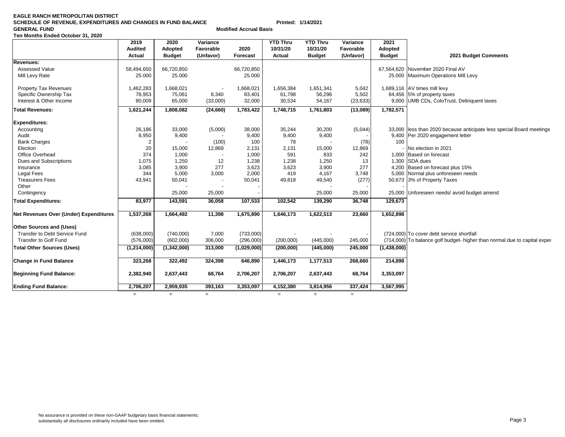| <b>Change in Fund Balance</b> | 323,268   | 322,492           | 324,398                        | 646,890   | 1,446,173 | 1,177,513 | 268,660           | 214,898   |
|-------------------------------|-----------|-------------------|--------------------------------|-----------|-----------|-----------|-------------------|-----------|
| Beginning Fund Balance:       | 2,382,940 | 2,637,443         | 68,764                         | 2,706,207 | 2,706,207 | 2,637,443 | 68,764            | 3,353,097 |
| <b>Ending Fund Balance:</b>   | 2,706,207 | 2,959,935         | 393,163                        | 3,353,097 | 4,152,380 | 3,814,956 | 337,424           | 3,567,995 |
|                               | $=$       | $\qquad \qquad =$ | $\qquad \qquad =\qquad \qquad$ |           | $=$       | $=$       | $\qquad \qquad =$ |           |
|                               |           |                   |                                |           |           |           |                   |           |
|                               |           |                   |                                |           |           |           |                   |           |
|                               |           |                   |                                |           |           |           |                   |           |
|                               |           |                   |                                |           |           |           |                   |           |
|                               |           |                   |                                |           |           |           |                   |           |
|                               |           |                   |                                |           |           |           |                   |           |
|                               |           |                   |                                |           |           |           |                   |           |
|                               |           |                   |                                |           |           |           |                   |           |
|                               |           |                   |                                |           |           |           |                   |           |
|                               |           |                   |                                |           |           |           |                   |           |

**Total Other Sources (Uses) (1,214,000) (1,342,000) 313,000 (1,029,000) (200,000) (445,000) 245,000 (1,438,000)**

# **EAGLE RANCH METROPOLITAN DISTRICT**

#### **SCHEDULE OF REVENUE, EXPENDITURES AND CHANGES IN FUND BALANCE Printed: 1/14/2021 GENERAL FUND Modified Accrual BasisTen Months Ended October 31, 2020 2019 2020 Variance YTD Thru YTD Thru Variance 2021 Audited Adopted Favorable 2020 10/31/20 10/31/20 Favorable Adopted Actual Budget (Unfavor) Forecast Actual Budget (Unfavor) Budget 2021 Budget Comments Revenues:**Assessed Value 66,720,850 66,720,850 66,720,850 66,720,850 66,720,850 66,720,850 66,720,850 67,200 Final AV Mill Levy Rate 25.000 25.000 25.000 25.000 25.000 25.000 25.000 25.000 25.000 25.000 25.000 25.000 Altil Levy Property Tax Revenues 1,462,283 1,668,021 - 1,668,021 1,668,021 1,651,341 5,042 1,689,116 AV times mill levy Specific Ownership Tax 78,953 75,061 8,340 83,401 61,798 56,296 5,502 84,456 5% of property taxes Interest & Other Income 80,009 65,000 (33,000) 32,000 30,534 54,167 (23,633) 9,000 UMB CDs, ColoTrust, Delinquent taxes **Total Revenues: 1,621,244 1,808,082 (24,660) 1,783,422 1,748,715 1,761,803 (13,089) 1,782,571 Expenditures:** Accounting 26,186 33,000 (5,000) 38,000 35,244 30,200 (5,044) 33,000 less than 2020 because anticipate less special Board meetings<br>Audit 8,950 9,400 - 9,400 9,400 9,400 - 9,400 - 9,400 - 9,400 Per 2020 engagement letter Audit **8,950** 9,400 - 9,400 9,400 9,400 9,400 9,400 - 9,400 Per 2020 engagement letter<br>Bank Charges **100** 2 - (100) 100 78 - (78) 100 Bank Charges 2 | - (100) 100 | 78 - (78)| 100 Election 20 15,000 12,869 2,131 2,131 15,000 12,869 - No election in 2021 Office Overhead 374 1,000 - 1,000 591 833 242 1,000 Based on forecast Dues and Subscriptions 1,075 1,250 12 1,238 1,238 1,250 13 1,300 SDA dues Insurance 3,085 3,900 277 3,623 3,623 3,900 277 4,200 Based on forecast plus 15% Legal Fees 20 10 100 100 344 5,000 3,000 2,000 419 4,167 3,748 5,000 Normal plus unforeseen needs<br>13,941 50,041 50,041 50,041 49,818 49,540 277) 50,673 3% of Property Taxes Treasurers Fees **1** 43,941 43,941 50,041 - 50,041 49,818 49,540 (277) 50,673 3% of Property Taxes Other - - - - - -Contingency 25,000 25,000 25,000 25,000 25,000 25,000 25,000 25,000 25,000 25,000 25,000 Unforeseen needs/ avoid budget amend **Total Expenditures: 83,977 143,591 36,058 107,533 102,542 139,290 36,748 129,673 Net Revenues Over (Under) Expenditures 1,537,268 1,664,492 11,398 1,675,890 1,646,173 1,622,513 23,660 1,652,898 Other Sources and (Uses)** Transfer to Debt Service Fund (638,000) (740,000) 7,000 (733,000) - - - - - (724,000) To cover debt service shortfall

Transfer to Golf Fund Transfer to Golf Fund the to capital experiments of the C20,000 (296,000) (296,000) (200,000) (200,000) (445,000) (714,000) To balance golf budget- higher than normal due to capital expendient expendi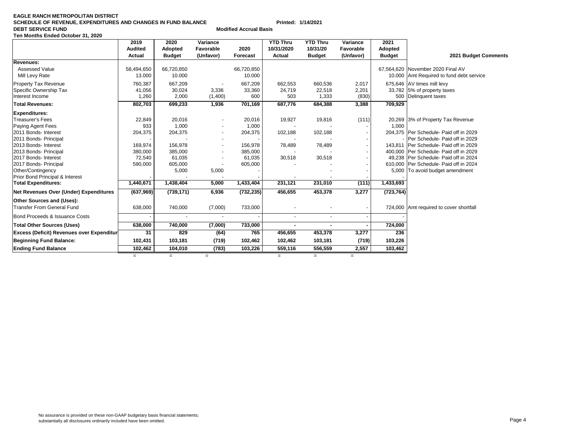#### **EAGLE RANCH METROPOLITAN DISTRICT SCHEDULE OF REVENUE, EXPENDITURES AND CHANGES IN FUND BALANCE Printed: 1/14/2021 DEBT SERVICE FUND Modified Accrual Basis Ten Months Ended October 31, 2020**

|                                                                                                                                                                                                                                                                                                                   | 2019<br><b>Audited</b>                                                           | 2020<br>Adopted                                                                             | Variance<br>Favorable     | 2020                                                                               | <b>YTD Thru</b><br>10/31/2020                    | <b>YTD Thru</b><br>10/31/20                      | Variance<br>Favorable            | 2021<br><b>Adopted</b> |                                                                                                                                                                                                                                                                                                                             |
|-------------------------------------------------------------------------------------------------------------------------------------------------------------------------------------------------------------------------------------------------------------------------------------------------------------------|----------------------------------------------------------------------------------|---------------------------------------------------------------------------------------------|---------------------------|------------------------------------------------------------------------------------|--------------------------------------------------|--------------------------------------------------|----------------------------------|------------------------|-----------------------------------------------------------------------------------------------------------------------------------------------------------------------------------------------------------------------------------------------------------------------------------------------------------------------------|
|                                                                                                                                                                                                                                                                                                                   | Actual                                                                           | <b>Budget</b>                                                                               | (Unfavor)                 | Forecast                                                                           | Actual                                           | <b>Budget</b>                                    | (Unfavor)                        | <b>Budget</b>          | 2021 Budget Comments                                                                                                                                                                                                                                                                                                        |
| Revenues:<br><b>Assessed Value</b><br>Mill Levy Rate                                                                                                                                                                                                                                                              | 58,494,650<br>13.000                                                             | 66,720,850<br>10.000                                                                        |                           | 66,720,850<br>10.000                                                               |                                                  |                                                  |                                  |                        | 67.564.620 November 2020 Final AV<br>10.000 Amt Required to fund debt service                                                                                                                                                                                                                                               |
| Property Tax Revenue<br>Specific Ownership Tax<br>Interest Income<br><b>Total Revenues:</b>                                                                                                                                                                                                                       | 760,387<br>41,056<br>1,260<br>802,703                                            | 667,209<br>30,024<br>2,000<br>699,233                                                       | 3,336<br>(1,400)<br>1,936 | 667,209<br>33,360<br>600<br>701,169                                                | 662,553<br>24,719<br>503<br>687,776              | 660,536<br>22,518<br>1,333<br>684,388            | 2,017<br>2,201<br>(830)<br>3,388 | 709,929                | 675,646 AV times mill levy<br>33,782 5% of property taxes<br>500 Delinquent taxes                                                                                                                                                                                                                                           |
|                                                                                                                                                                                                                                                                                                                   |                                                                                  |                                                                                             |                           |                                                                                    |                                                  |                                                  |                                  |                        |                                                                                                                                                                                                                                                                                                                             |
| <b>Expenditures:</b><br>Treasurer's Fees<br>Paying Agent Fees<br>2011 Bonds- Interest<br>2011 Bonds- Principal<br>2013 Bonds- Interest<br>2013 Bonds- Principal<br>2017 Bonds- Interest<br>2017 Bonds- Principal<br>Other/Contingency<br><b>Prior Bond Principal &amp; Interest</b><br><b>Total Expenditures:</b> | 22,849<br>933<br>204,375<br>169,974<br>380,000<br>72,540<br>590,000<br>1,440,671 | 20,016<br>1,000<br>204,375<br>156,978<br>385,000<br>61,035<br>605,000<br>5,000<br>1,438,404 | 5,000<br>5,000            | 20,016<br>1,000<br>204,375<br>156,978<br>385,000<br>61,035<br>605,000<br>1,433,404 | 19,927<br>102,188<br>78,489<br>30,518<br>231,121 | 19,816<br>102,188<br>78,489<br>30,518<br>231,010 | (111)<br>(111)                   | 1,000<br>1,433,693     | 20,269 3% of Property Tax Revenue<br>204.375 Per Schedule- Paid off in 2029<br>- Per Schedule- Paid off in 2029<br>143,811   Per Schedule- Paid off in 2029<br>400,000 Per Schedule- Paid off in 2029<br>49,238 Per Schedule- Paid off in 2024<br>610,000 Per Schedule- Paid off in 2024<br>5,000 To avoid budget amendment |
| Net Revenues Over (Under) Expenditures                                                                                                                                                                                                                                                                            | (637,969)                                                                        | (739, 171)                                                                                  | 6,936                     | (732, 235)                                                                         | 456,655                                          | 453,378                                          | 3,277                            | (723, 764)             |                                                                                                                                                                                                                                                                                                                             |
| Other Sources and (Uses):<br>Transfer From General Fund                                                                                                                                                                                                                                                           | 638,000                                                                          | 740,000                                                                                     | (7,000)                   | 733,000                                                                            |                                                  |                                                  |                                  |                        | 724,000 Amt required to cover shortfall                                                                                                                                                                                                                                                                                     |
| Bond Proceeds & Issuance Costs                                                                                                                                                                                                                                                                                    |                                                                                  |                                                                                             |                           |                                                                                    | $\blacksquare$                                   |                                                  |                                  |                        |                                                                                                                                                                                                                                                                                                                             |
| <b>Total Other Sources (Uses)</b>                                                                                                                                                                                                                                                                                 | 638,000                                                                          | 740,000                                                                                     | (7,000)                   | 733,000                                                                            |                                                  |                                                  |                                  | 724,000                |                                                                                                                                                                                                                                                                                                                             |
| <b>Excess (Deficit) Revenues over Expenditur</b>                                                                                                                                                                                                                                                                  | 31                                                                               | 829                                                                                         | (64)                      | 765                                                                                | 456,655                                          | 453,378                                          | 3,277                            | 236                    |                                                                                                                                                                                                                                                                                                                             |
| <b>Beginning Fund Balance:</b>                                                                                                                                                                                                                                                                                    | 102,431                                                                          | 103,181                                                                                     | (719)                     | 102,462                                                                            | 102,462                                          | 103,181                                          | (719)                            | 103,226                |                                                                                                                                                                                                                                                                                                                             |
| <b>Ending Fund Balance</b>                                                                                                                                                                                                                                                                                        | 102,462                                                                          | 104,010                                                                                     | (783)                     | 103,226                                                                            | 559,116                                          | 556,559                                          | 2,557                            | 103,462                |                                                                                                                                                                                                                                                                                                                             |
|                                                                                                                                                                                                                                                                                                                   | $=$                                                                              | $=$                                                                                         | $=$                       |                                                                                    | $=$                                              | $=$                                              | $=$                              |                        |                                                                                                                                                                                                                                                                                                                             |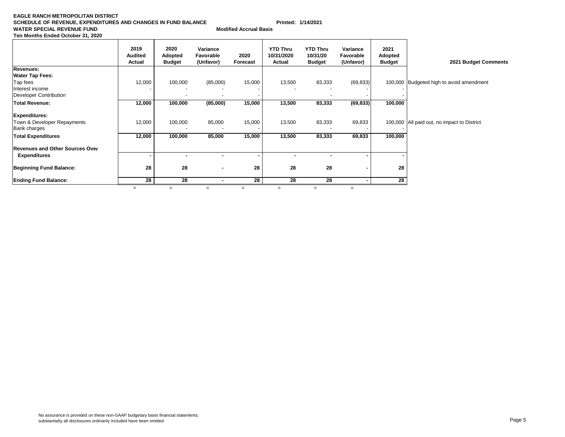#### **EAGLE RANCH METROPOLITAN DISTRICT SCHEDULE OF REVENUE, EXPENDITURES AND CHANGES IN FUND BALANCE Printed: 1/14/2021 WATER SPECIAL REVENUE FUND Ten Months Ended October 31, 2020**

**Modified Accrual Basis** 

|                                        | 2019<br><b>Audited</b><br>Actual | 2020<br>Adopted<br><b>Budget</b> | Variance<br>Favorable<br>(Unfavor) | 2020<br>Forecast | <b>YTD Thru</b><br>10/31/2020<br>Actual | <b>YTD Thru</b><br>10/31/20<br><b>Budget</b> | Variance<br>Favorable<br>(Unfavor) | 2021<br><b>Adopted</b><br><b>Budget</b> | 2021 Budget Comments                        |
|----------------------------------------|----------------------------------|----------------------------------|------------------------------------|------------------|-----------------------------------------|----------------------------------------------|------------------------------------|-----------------------------------------|---------------------------------------------|
| <b>Revenues:</b>                       |                                  |                                  |                                    |                  |                                         |                                              |                                    |                                         |                                             |
| <b>Water Tap Fees:</b>                 |                                  |                                  |                                    |                  |                                         |                                              |                                    |                                         |                                             |
| Tap fees                               | 12,000                           | 100,000                          | (85,000)                           | 15,000           | 13,500                                  | 83,333                                       | (69, 833)                          |                                         | 100,000 Budgeted high to avoid amendment    |
| Interest income                        |                                  |                                  |                                    |                  |                                         |                                              |                                    |                                         |                                             |
| Developer Contribution                 |                                  |                                  |                                    |                  |                                         |                                              |                                    |                                         |                                             |
| Total Revenue:                         | 12,000                           | 100,000                          | (85,000)                           | 15,000           | 13,500                                  | 83,333                                       | (69, 833)                          | 100,000                                 |                                             |
| Expenditures:                          |                                  |                                  |                                    |                  |                                         |                                              |                                    |                                         |                                             |
| Town & Developer Repayments            | 12,000                           | 100,000                          | 85,000                             | 15,000           | 13,500                                  | 83,333                                       | 69,833                             |                                         | 100,000 All paid out, no impact to District |
| <b>Bank charges</b>                    |                                  |                                  |                                    |                  |                                         |                                              |                                    |                                         |                                             |
| <b>Total Expenditures</b>              | 12,000                           | 100,000                          | 85,000                             | 15,000           | 13,500                                  | 83,333                                       | 69,833                             | 100,000                                 |                                             |
| <b>Revenues and Other Sources Over</b> |                                  |                                  |                                    |                  |                                         |                                              |                                    |                                         |                                             |
| <b>Expenditures</b>                    |                                  |                                  |                                    |                  |                                         |                                              |                                    |                                         |                                             |
| <b>Beginning Fund Balance:</b>         | 28                               | 28                               | $\overline{\phantom{a}}$           | 28               | 28                                      | 28                                           |                                    | 28                                      |                                             |
| <b>Ending Fund Balance:</b>            | 28                               | 28                               |                                    | 28               | 28                                      | 28                                           |                                    | 28                                      |                                             |
|                                        | $=$                              | $=$                              | $=$                                | $=$              | $=$                                     | $=$                                          | $=$                                |                                         |                                             |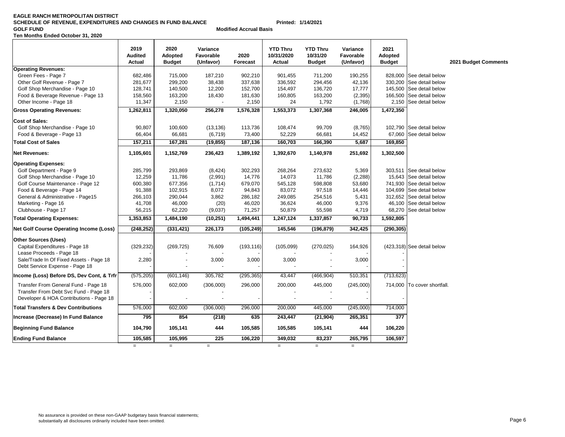#### **EAGLE RANCH METROPOLITAN DISTRICT SCHEDULE OF REVENUE, EXPENDITURES AND CHANGES IN FUND BALANCE Printed: 1/14/2021 GOLF FUNDTen Months Ended October 31, 2020**

**Modified Accrual Basis**

|                                                | 2019<br><b>Audited</b><br><b>Actual</b> | 2020<br><b>Adopted</b><br><b>Budget</b> | Variance<br>Favorable<br>(Unfavor) | 2020<br>Forecast | <b>YTD Thru</b><br>10/31/2020<br>Actual | <b>YTD Thru</b><br>10/31/20<br><b>Budget</b> | Variance<br>Favorable<br>(Unfavor) | 2021<br>Adopted<br><b>Budget</b> |                             | 2021 |
|------------------------------------------------|-----------------------------------------|-----------------------------------------|------------------------------------|------------------|-----------------------------------------|----------------------------------------------|------------------------------------|----------------------------------|-----------------------------|------|
| <b>Operating Revenues:</b>                     |                                         |                                         |                                    |                  |                                         |                                              |                                    |                                  |                             |      |
| Green Fees - Page 7                            | 682,486                                 | 715,000                                 | 187,210                            | 902,210          | 901,455                                 | 711,200                                      | 190,255                            | 828,000                          | See detail below            |      |
| Other Golf Revenue - Page 7                    | 281,677                                 | 299,200                                 | 38,438                             | 337,638          | 336,592                                 | 294,456                                      | 42,136                             | 330,200                          | See detail below            |      |
| Golf Shop Merchandise - Page 10                | 128,741                                 | 140,500                                 | 12,200                             | 152,700          | 154,497                                 | 136,720                                      | 17,777                             | 145,500                          | See detail below            |      |
| Food & Beverage Revenue - Page 13              | 158,560                                 | 163,200                                 | 18,430                             | 181,630          | 160,805                                 | 163,200                                      | (2, 395)                           | 166,500                          | See detail below            |      |
| Other Income - Page 18                         | 11,347                                  | 2,150                                   |                                    | 2,150            | 24                                      | 1,792                                        | (1,768)                            |                                  | 2,150 See detail below      |      |
| <b>Gross Operating Revenues:</b>               | 1,262,811                               | 1,320,050                               | 256,278                            | 1,576,328        | 1,553,373                               | 1,307,368                                    | 246,005                            | 1,472,350                        |                             |      |
| <b>Cost of Sales:</b>                          |                                         |                                         |                                    |                  |                                         |                                              |                                    |                                  |                             |      |
| Golf Shop Merchandise - Page 10                | 90.807                                  | 100,600                                 | (13, 136)                          | 113,736          | 108,474                                 | 99.709                                       | (8,765)                            |                                  | 102.790 See detail below    |      |
| Food & Beverage - Page 13                      | 66,404                                  | 66,681                                  | (6, 719)                           | 73,400           | 52,229                                  | 66,681                                       | 14,452                             | 67,060                           | See detail below            |      |
| <b>Total Cost of Sales</b>                     | 157,211                                 | 167,281                                 | (19, 855)                          | 187,136          | 160,703                                 | 166,390                                      | 5,687                              | 169,850                          |                             |      |
| Net Revenues:                                  | 1,105,601                               | 1,152,769                               | 236,423                            | 1,389,192        | 1,392,670                               | 1,140,978                                    | 251,692                            | 1,302,500                        |                             |      |
| <b>Operating Expenses:</b>                     |                                         |                                         |                                    |                  |                                         |                                              |                                    |                                  |                             |      |
| Golf Department - Page 9                       | 285,799                                 | 293,869                                 | (8, 424)                           | 302,293          | 268,264                                 | 273,632                                      | 5,369                              |                                  | 303,511 See detail below    |      |
| Golf Shop Merchandise - Page 10                | 12,259                                  | 11,786                                  | (2,991)                            | 14,776           | 14,073                                  | 11,786                                       | (2, 288)                           |                                  | 15,643 See detail below     |      |
| Golf Course Maintenance - Page 12              | 600,380                                 | 677,356                                 | (1,714)                            | 679,070          | 545,128                                 | 598,808                                      | 53,680                             | 741,930                          | See detail below            |      |
| Food & Beverage - Page 14                      | 91,388                                  | 102,915                                 | 8,072                              | 94,843           | 83,072                                  | 97,518                                       | 14,446                             |                                  | 104,699 See detail below    |      |
| General & Administrative - Page15              | 266,103                                 | 290,044                                 | 3,862                              | 286,182          | 249,085                                 | 254,516                                      | 5,431                              | 312,652                          | See detail below            |      |
| Marketing - Page 16                            | 41,708                                  | 46,000                                  | (20)                               | 46,020           | 36,624                                  | 46,000                                       | 9,376                              |                                  | 46.100 See detail below     |      |
| Clubhouse - Page 17                            | 56,215                                  | 62,220                                  | (9,037)                            | 71,257           | 50,879                                  | 55,598                                       | 4,719                              |                                  | 68,270 See detail below     |      |
| <b>Total Operating Expenses:</b>               | 1,353,853                               | 1,484,190                               | (10, 251)                          | 1,494,441        | 1,247,124                               | 1,337,857                                    | 90,733                             | 1,592,805                        |                             |      |
| Net Golf Course Operating Income (Loss)        | (248, 252)                              | (331, 421)                              | 226,173                            | (105, 249)       | 145,546                                 | (196, 879)                                   | 342,425                            | (290, 305)                       |                             |      |
| Other Sources (Uses)                           |                                         |                                         |                                    |                  |                                         |                                              |                                    |                                  |                             |      |
| Capital Expenditures - Page 18                 | (329, 232)                              | (269, 725)                              | 76,609                             | (193, 116)       | (105,099)                               | (270, 025)                                   | 164,926                            |                                  | (423,318) See detail below  |      |
| Lease Proceeds - Page 18                       |                                         |                                         |                                    |                  |                                         |                                              |                                    |                                  |                             |      |
| Sale/Trade In Of Fixed Assets - Page 18        | 2,280                                   |                                         | 3,000                              | 3,000            | 3,000                                   |                                              | 3,000                              |                                  |                             |      |
| Debt Service Expense - Page 18                 |                                         |                                         |                                    |                  |                                         |                                              |                                    |                                  |                             |      |
| ncome (Loss) Before DS, Dev Cont, & Trfr       | (575, 205)                              | (601, 146)                              | 305,782                            | (295, 365)       | 43,447                                  | (466, 904)                                   | 510,351                            | (713, 623)                       |                             |      |
| Transfer From General Fund - Page 18           | 576,000                                 | 602,000                                 | (306,000)                          | 296,000          | 200,000                                 | 445,000                                      | (245,000)                          |                                  | 714,000 To cover shortfall. |      |
| Transfer From Debt Svc Fund - Page 18          |                                         |                                         |                                    |                  |                                         |                                              |                                    |                                  |                             |      |
| Developer & HOA Contributions - Page 18        |                                         |                                         |                                    |                  |                                         |                                              |                                    |                                  |                             |      |
| <b>Total Transfers &amp; Dev Contributions</b> | 576,000                                 | 602,000                                 | (306,000)                          | 296,000          | 200,000                                 | 445,000                                      | (245,000)                          | 714,000                          |                             |      |
| Increase (Decrease) In Fund Balance            | 795                                     | 854                                     | (218)                              | 635              | 243,447                                 | (21, 904)                                    | 265,351                            | 377                              |                             |      |
| <b>Beginning Fund Balance</b>                  | 104,790                                 | 105,141                                 | 444                                | 105,585          | 105,585                                 | 105,141                                      | 444                                | 106,220                          |                             |      |
| <b>Ending Fund Balance</b>                     | 105,585                                 | 105,995                                 | 225                                | 106,220          | 349.032                                 | 83,237                                       | 265,795                            | 106,597                          |                             |      |
|                                                | $=$                                     | $=$                                     | $=$                                |                  | $=$                                     | $=$                                          | $=$                                |                                  |                             |      |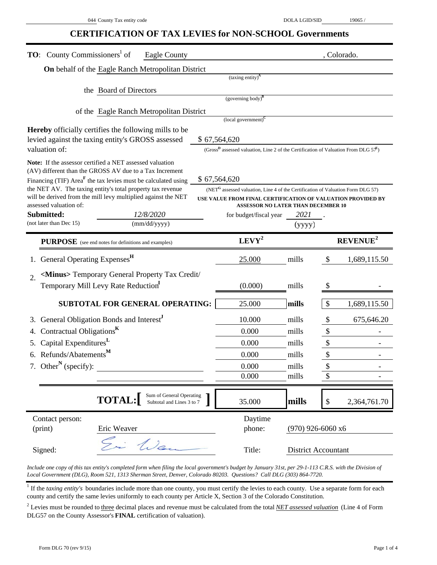## **CERTIFICATION OF TAX LEVIES for NON-SCHOOL Governments**

| <b>TO:</b> County Commissioners <sup>1</sup> of                                                                                      |                        | Eagle County                                       |                                                                                             |                                                                                                    |                     |                           | , Colorado.                |  |  |  |  |
|--------------------------------------------------------------------------------------------------------------------------------------|------------------------|----------------------------------------------------|---------------------------------------------------------------------------------------------|----------------------------------------------------------------------------------------------------|---------------------|---------------------------|----------------------------|--|--|--|--|
|                                                                                                                                      |                        | On behalf of the Eagle Ranch Metropolitan District |                                                                                             |                                                                                                    |                     |                           |                            |  |  |  |  |
|                                                                                                                                      |                        |                                                    |                                                                                             | $(taxing entity)^{A}$                                                                              |                     |                           |                            |  |  |  |  |
|                                                                                                                                      | the Board of Directors |                                                    |                                                                                             |                                                                                                    |                     |                           |                            |  |  |  |  |
|                                                                                                                                      |                        |                                                    |                                                                                             | (governing body) $\mathbf{B}$                                                                      |                     |                           |                            |  |  |  |  |
|                                                                                                                                      |                        | of the Eagle Ranch Metropolitan District           |                                                                                             | (local government) <sup>c</sup>                                                                    |                     |                           |                            |  |  |  |  |
| <b>Hereby</b> officially certifies the following mills to be                                                                         |                        |                                                    |                                                                                             |                                                                                                    |                     |                           |                            |  |  |  |  |
| levied against the taxing entity's GROSS assessed                                                                                    |                        |                                                    | \$67,564,620                                                                                |                                                                                                    |                     |                           |                            |  |  |  |  |
| valuation of:                                                                                                                        |                        |                                                    |                                                                                             | (Gross <sup>D</sup> assessed valuation, Line 2 of the Certification of Valuation From DLG $57^E$ ) |                     |                           |                            |  |  |  |  |
| <b>Note:</b> If the assessor certified a NET assessed valuation                                                                      |                        |                                                    |                                                                                             |                                                                                                    |                     |                           |                            |  |  |  |  |
| (AV) different than the GROSS AV due to a Tax Increment<br>Financing (TIF) Area <sup>F</sup> the tax levies must be calculated using |                        |                                                    | \$67,564,620                                                                                |                                                                                                    |                     |                           |                            |  |  |  |  |
| the NET AV. The taxing entity's total property tax revenue                                                                           |                        |                                                    | (NET <sup>G</sup> assessed valuation, Line 4 of the Certification of Valuation Form DLG 57) |                                                                                                    |                     |                           |                            |  |  |  |  |
| will be derived from the mill levy multiplied against the NET                                                                        |                        |                                                    |                                                                                             | USE VALUE FROM FINAL CERTIFICATION OF VALUATION PROVIDED BY                                        |                     |                           |                            |  |  |  |  |
| assessed valuation of:<br>Submitted:                                                                                                 |                        | 12/8/2020                                          |                                                                                             | <b>ASSESSOR NO LATER THAN DECEMBER 10</b><br>for budget/fiscal year                                | 2021                |                           |                            |  |  |  |  |
| (not later than Dec 15)                                                                                                              |                        | (mm/dd/yyyy)                                       |                                                                                             |                                                                                                    | (yyyy)              |                           |                            |  |  |  |  |
| <b>PURPOSE</b> (see end notes for definitions and examples)                                                                          |                        |                                                    |                                                                                             | $LEVY^2$                                                                                           |                     |                           | <b>REVENUE<sup>2</sup></b> |  |  |  |  |
|                                                                                                                                      |                        |                                                    |                                                                                             |                                                                                                    |                     |                           |                            |  |  |  |  |
| General Operating Expenses <sup>H</sup>                                                                                              |                        |                                                    |                                                                                             | 25.000                                                                                             | mills               | $\boldsymbol{\mathsf{S}}$ | 1,689,115.50               |  |  |  |  |
| <minus> Temporary General Property Tax Credit/<br/>2.</minus>                                                                        |                        |                                                    |                                                                                             |                                                                                                    |                     |                           |                            |  |  |  |  |
| Temporary Mill Levy Rate Reduction                                                                                                   |                        |                                                    |                                                                                             | (0.000)                                                                                            | mills               | S                         |                            |  |  |  |  |
|                                                                                                                                      |                        | <b>SUBTOTAL FOR GENERAL OPERATING:</b>             |                                                                                             | 25.000                                                                                             | mills               | $\mathcal{S}$             | 1,689,115.50               |  |  |  |  |
| General Obligation Bonds and Interest <sup>J</sup>                                                                                   |                        |                                                    |                                                                                             | 10.000                                                                                             | mills               | \$                        | 675,646.20                 |  |  |  |  |
| Contractual Obligations <sup>K</sup><br>4.                                                                                           |                        |                                                    |                                                                                             | 0.000                                                                                              | mills               | $\mathbb{S}$              |                            |  |  |  |  |
| Capital Expenditures <sup>L</sup><br>5.                                                                                              |                        |                                                    |                                                                                             | 0.000                                                                                              | mills               | $\boldsymbol{\$}$         |                            |  |  |  |  |
| Refunds/Abatements <sup>M</sup><br>6.                                                                                                |                        |                                                    |                                                                                             | 0.000                                                                                              | mills               | \$                        |                            |  |  |  |  |
| 7. Other <sup>N</sup> (specify):                                                                                                     |                        |                                                    |                                                                                             | 0.000                                                                                              | mills               | \$                        |                            |  |  |  |  |
|                                                                                                                                      |                        |                                                    |                                                                                             | 0.000                                                                                              | mills               | \$                        |                            |  |  |  |  |
|                                                                                                                                      |                        | Sum of General Operating                           |                                                                                             |                                                                                                    |                     |                           |                            |  |  |  |  |
|                                                                                                                                      | <b>TOTAL:</b>          | Subtotal and Lines 3 to 7                          |                                                                                             | 35.000                                                                                             | mills               | \$                        | 2,364,761.70               |  |  |  |  |
| Contact person:                                                                                                                      |                        |                                                    |                                                                                             | Daytime                                                                                            |                     |                           |                            |  |  |  |  |
| (print)                                                                                                                              | Eric Weaver            |                                                    |                                                                                             | phone:                                                                                             | $(970)$ 926-6060 x6 |                           |                            |  |  |  |  |
| Signed:                                                                                                                              |                        | Wea                                                |                                                                                             | Title:                                                                                             | District Accountant |                           |                            |  |  |  |  |

*Include one copy of this tax entity's completed form when filing the local government's budget by January 31st, per 29-1-113 C.R.S. with the Division of Local Government (DLG), Room 521, 1313 Sherman Street, Denver, Colorado 80203. Questions? Call DLG (303) 864-7720.*

<sup>1</sup> If the *taxing entity's* boundaries include more than one county, you must certify the levies to each county. Use a separate form for each county and certify the same levies uniformly to each county per Article X, Section 3 of the Colorado Constitution.

2 Levies must be rounded to three decimal places and revenue must be calculated from the total *NET assessed valuation* (Line 4 of Form DLG57 on the County Assessor's **FINAL** certification of valuation).